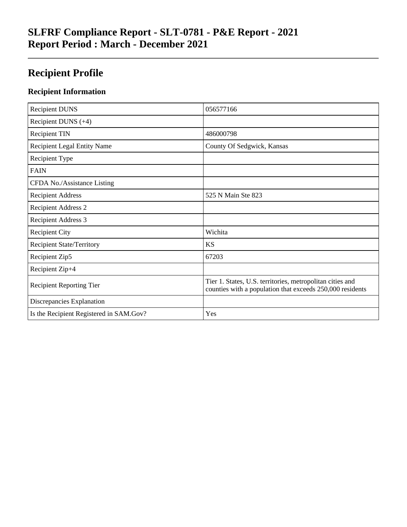## **SLFRF Compliance Report - SLT-0781 - P&E Report - 2021 Report Period : March - December 2021**

# **Recipient Profile**

## **Recipient Information**

| <b>Recipient DUNS</b>                   | 056577166                                                                                                              |
|-----------------------------------------|------------------------------------------------------------------------------------------------------------------------|
| Recipient DUNS $(+4)$                   |                                                                                                                        |
| <b>Recipient TIN</b>                    | 486000798                                                                                                              |
| <b>Recipient Legal Entity Name</b>      | County Of Sedgwick, Kansas                                                                                             |
| Recipient Type                          |                                                                                                                        |
| <b>FAIN</b>                             |                                                                                                                        |
| CFDA No./Assistance Listing             |                                                                                                                        |
| <b>Recipient Address</b>                | 525 N Main Ste 823                                                                                                     |
| <b>Recipient Address 2</b>              |                                                                                                                        |
| Recipient Address 3                     |                                                                                                                        |
| <b>Recipient City</b>                   | Wichita                                                                                                                |
| <b>Recipient State/Territory</b>        | <b>KS</b>                                                                                                              |
| Recipient Zip5                          | 67203                                                                                                                  |
| Recipient Zip+4                         |                                                                                                                        |
| <b>Recipient Reporting Tier</b>         | Tier 1. States, U.S. territories, metropolitan cities and<br>counties with a population that exceeds 250,000 residents |
| Discrepancies Explanation               |                                                                                                                        |
| Is the Recipient Registered in SAM.Gov? | Yes                                                                                                                    |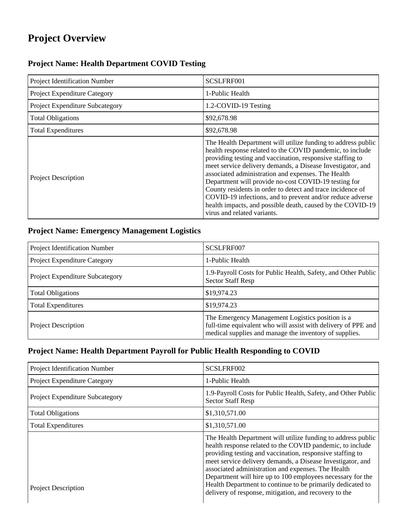## **Project Overview**

## **Project Name: Health Department COVID Testing**

| Project Identification Number   | SCSLFRF001                                                                                                                                                                                                                                                                                                                                                                                                                                                                                                                                                                                 |
|---------------------------------|--------------------------------------------------------------------------------------------------------------------------------------------------------------------------------------------------------------------------------------------------------------------------------------------------------------------------------------------------------------------------------------------------------------------------------------------------------------------------------------------------------------------------------------------------------------------------------------------|
| Project Expenditure Category    | 1-Public Health                                                                                                                                                                                                                                                                                                                                                                                                                                                                                                                                                                            |
| Project Expenditure Subcategory | 1.2-COVID-19 Testing                                                                                                                                                                                                                                                                                                                                                                                                                                                                                                                                                                       |
| <b>Total Obligations</b>        | \$92,678.98                                                                                                                                                                                                                                                                                                                                                                                                                                                                                                                                                                                |
| <b>Total Expenditures</b>       | \$92,678.98                                                                                                                                                                                                                                                                                                                                                                                                                                                                                                                                                                                |
| <b>Project Description</b>      | The Health Department will utilize funding to address public<br>health response related to the COVID pandemic, to include<br>providing testing and vaccination, responsive staffing to<br>meet service delivery demands, a Disease Investigator, and<br>associated administration and expenses. The Health<br>Department will provide no-cost COVID-19 testing for<br>County residents in order to detect and trace incidence of<br>COVID-19 infections, and to prevent and/or reduce adverse<br>health impacts, and possible death, caused by the COVID-19<br>virus and related variants. |

## **Project Name: Emergency Management Logistics**

| Project Identification Number          | SCSLFRF007                                                                                                                                                                  |
|----------------------------------------|-----------------------------------------------------------------------------------------------------------------------------------------------------------------------------|
| Project Expenditure Category           | 1-Public Health                                                                                                                                                             |
| <b>Project Expenditure Subcategory</b> | 1.9-Payroll Costs for Public Health, Safety, and Other Public<br><b>Sector Staff Resp</b>                                                                                   |
| <b>Total Obligations</b>               | \$19,974.23                                                                                                                                                                 |
| <b>Total Expenditures</b>              | \$19,974.23                                                                                                                                                                 |
| <b>Project Description</b>             | The Emergency Management Logistics position is a<br>full-time equivalent who will assist with delivery of PPE and<br>medical supplies and manage the inventory of supplies. |

### **Project Name: Health Department Payroll for Public Health Responding to COVID**

| <b>Project Identification Number</b>   | SCSLFRF002                                                                                                                                                                                                                                                                                                                                                                                                                                                                                      |
|----------------------------------------|-------------------------------------------------------------------------------------------------------------------------------------------------------------------------------------------------------------------------------------------------------------------------------------------------------------------------------------------------------------------------------------------------------------------------------------------------------------------------------------------------|
| Project Expenditure Category           | 1-Public Health                                                                                                                                                                                                                                                                                                                                                                                                                                                                                 |
| <b>Project Expenditure Subcategory</b> | 1.9-Payroll Costs for Public Health, Safety, and Other Public<br><b>Sector Staff Resp</b>                                                                                                                                                                                                                                                                                                                                                                                                       |
| <b>Total Obligations</b>               | \$1,310,571.00                                                                                                                                                                                                                                                                                                                                                                                                                                                                                  |
| <b>Total Expenditures</b>              | \$1,310,571.00                                                                                                                                                                                                                                                                                                                                                                                                                                                                                  |
| <b>Project Description</b>             | The Health Department will utilize funding to address public<br>health response related to the COVID pandemic, to include<br>providing testing and vaccination, responsive staffing to<br>meet service delivery demands, a Disease Investigator, and<br>associated administration and expenses. The Health<br>Department will hire up to 100 employees necessary for the<br>Health Department to continue to be primarily dedicated to<br>delivery of response, mitigation, and recovery to the |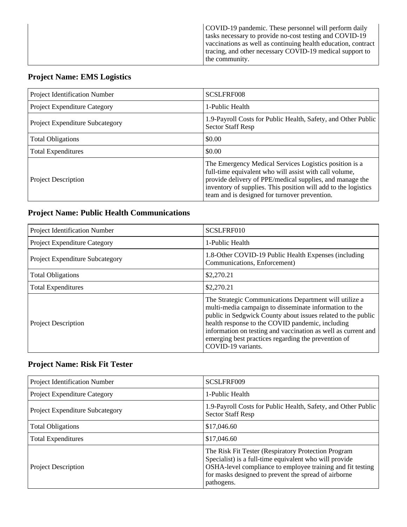| COVID-19 pandemic. These personnel will perform daily<br>tasks necessary to provide no-cost testing and COVID-19<br>vaccinations as well as continuing health education, contract<br>tracing, and other necessary COVID-19 medical support to<br>the community. |
|-----------------------------------------------------------------------------------------------------------------------------------------------------------------------------------------------------------------------------------------------------------------|
|-----------------------------------------------------------------------------------------------------------------------------------------------------------------------------------------------------------------------------------------------------------------|

## **Project Name: EMS Logistics**

| Project Identification Number          | SCSLFRF008                                                                                                                                                                                                                                                                                      |
|----------------------------------------|-------------------------------------------------------------------------------------------------------------------------------------------------------------------------------------------------------------------------------------------------------------------------------------------------|
| Project Expenditure Category           | 1-Public Health                                                                                                                                                                                                                                                                                 |
| <b>Project Expenditure Subcategory</b> | 1.9-Payroll Costs for Public Health, Safety, and Other Public<br><b>Sector Staff Resp</b>                                                                                                                                                                                                       |
| <b>Total Obligations</b>               | \$0.00                                                                                                                                                                                                                                                                                          |
| <b>Total Expenditures</b>              | \$0.00                                                                                                                                                                                                                                                                                          |
| <b>Project Description</b>             | The Emergency Medical Services Logistics position is a<br>full-time equivalent who will assist with call volume,<br>provide delivery of PPE/medical supplies, and manage the<br>inventory of supplies. This position will add to the logistics<br>team and is designed for turnover prevention. |

## **Project Name: Public Health Communications**

| Project Identification Number          | SCSLFRF010                                                                                                                                                                                                                                                                                                                                                                         |
|----------------------------------------|------------------------------------------------------------------------------------------------------------------------------------------------------------------------------------------------------------------------------------------------------------------------------------------------------------------------------------------------------------------------------------|
| Project Expenditure Category           | 1-Public Health                                                                                                                                                                                                                                                                                                                                                                    |
| <b>Project Expenditure Subcategory</b> | 1.8-Other COVID-19 Public Health Expenses (including<br>Communications, Enforcement)                                                                                                                                                                                                                                                                                               |
| <b>Total Obligations</b>               | \$2,270.21                                                                                                                                                                                                                                                                                                                                                                         |
| <b>Total Expenditures</b>              | \$2,270.21                                                                                                                                                                                                                                                                                                                                                                         |
| Project Description                    | The Strategic Communications Department will utilize a<br>multi-media campaign to disseminate information to the<br>public in Sedgwick County about issues related to the public<br>health response to the COVID pandemic, including<br>information on testing and vaccination as well as current and<br>emerging best practices regarding the prevention of<br>COVID-19 variants. |

## **Project Name: Risk Fit Tester**

| Project Identification Number          | SCSLFRF009                                                                                                                                                                                                                                        |
|----------------------------------------|---------------------------------------------------------------------------------------------------------------------------------------------------------------------------------------------------------------------------------------------------|
| Project Expenditure Category           | 1-Public Health                                                                                                                                                                                                                                   |
| <b>Project Expenditure Subcategory</b> | 1.9-Payroll Costs for Public Health, Safety, and Other Public<br><b>Sector Staff Resp</b>                                                                                                                                                         |
| <b>Total Obligations</b>               | \$17,046.60                                                                                                                                                                                                                                       |
| <b>Total Expenditures</b>              | \$17,046.60                                                                                                                                                                                                                                       |
| <b>Project Description</b>             | The Risk Fit Tester (Respiratory Protection Program<br>Specialist) is a full-time equivalent who will provide<br>OSHA-level compliance to employee training and fit testing<br>for masks designed to prevent the spread of airborne<br>pathogens. |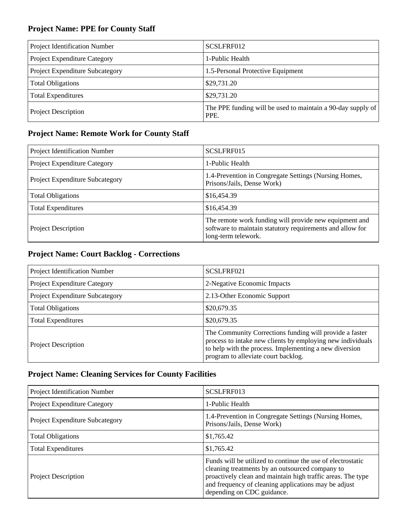## **Project Name: PPE for County Staff**

| Project Identification Number   | SCSLFRF012                                                          |
|---------------------------------|---------------------------------------------------------------------|
| Project Expenditure Category    | 1-Public Health                                                     |
| Project Expenditure Subcategory | 1.5-Personal Protective Equipment                                   |
| <b>Total Obligations</b>        | \$29,731.20                                                         |
| <b>Total Expenditures</b>       | \$29,731.20                                                         |
| <b>Project Description</b>      | The PPE funding will be used to maintain a 90-day supply of<br>PPE. |

## **Project Name: Remote Work for County Staff**

| Project Identification Number          | SCSLFRF015                                                                                                                                 |
|----------------------------------------|--------------------------------------------------------------------------------------------------------------------------------------------|
| Project Expenditure Category           | 1-Public Health                                                                                                                            |
| <b>Project Expenditure Subcategory</b> | 1.4-Prevention in Congregate Settings (Nursing Homes,<br>Prisons/Jails, Dense Work)                                                        |
| <b>Total Obligations</b>               | \$16,454.39                                                                                                                                |
| <b>Total Expenditures</b>              | \$16,454.39                                                                                                                                |
| <b>Project Description</b>             | The remote work funding will provide new equipment and<br>software to maintain statutory requirements and allow for<br>long-term telework. |

## **Project Name: Court Backlog - Corrections**

| Project Identification Number   | SCSLFRF021                                                                                                                                                                                                             |
|---------------------------------|------------------------------------------------------------------------------------------------------------------------------------------------------------------------------------------------------------------------|
| Project Expenditure Category    | 2-Negative Economic Impacts                                                                                                                                                                                            |
| Project Expenditure Subcategory | 2.13-Other Economic Support                                                                                                                                                                                            |
| <b>Total Obligations</b>        | \$20,679.35                                                                                                                                                                                                            |
| <b>Total Expenditures</b>       | \$20,679.35                                                                                                                                                                                                            |
| <b>Project Description</b>      | The Community Corrections funding will provide a faster<br>process to intake new clients by employing new individuals<br>to help with the process. Implementing a new diversion<br>program to alleviate court backlog. |

### **Project Name: Cleaning Services for County Facilities**

| Project Identification Number   | SCSLFRF013                                                                                                                                                                                                                                                          |
|---------------------------------|---------------------------------------------------------------------------------------------------------------------------------------------------------------------------------------------------------------------------------------------------------------------|
| Project Expenditure Category    | 1-Public Health                                                                                                                                                                                                                                                     |
| Project Expenditure Subcategory | 1.4-Prevention in Congregate Settings (Nursing Homes,<br>Prisons/Jails, Dense Work)                                                                                                                                                                                 |
| <b>Total Obligations</b>        | \$1,765.42                                                                                                                                                                                                                                                          |
| <b>Total Expenditures</b>       | \$1,765.42                                                                                                                                                                                                                                                          |
| <b>Project Description</b>      | Funds will be utilized to continue the use of electrostatic<br>cleaning treatments by an outsourced company to<br>proactively clean and maintain high traffic areas. The type<br>and frequency of cleaning applications may be adjust<br>depending on CDC guidance. |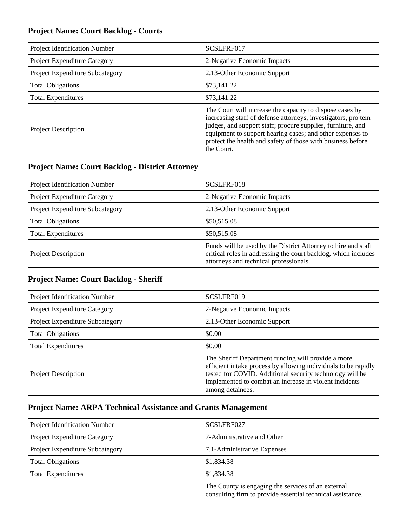## **Project Name: Court Backlog - Courts**

| Project Identification Number   | SCSLFRF017                                                                                                                                                                                                                                                                                                                         |
|---------------------------------|------------------------------------------------------------------------------------------------------------------------------------------------------------------------------------------------------------------------------------------------------------------------------------------------------------------------------------|
| Project Expenditure Category    | 2-Negative Economic Impacts                                                                                                                                                                                                                                                                                                        |
| Project Expenditure Subcategory | 2.13-Other Economic Support                                                                                                                                                                                                                                                                                                        |
| <b>Total Obligations</b>        | \$73,141.22                                                                                                                                                                                                                                                                                                                        |
| <b>Total Expenditures</b>       | \$73,141.22                                                                                                                                                                                                                                                                                                                        |
| <b>Project Description</b>      | The Court will increase the capacity to dispose cases by<br>increasing staff of defense attorneys, investigators, pro tem<br>judges, and support staff; procure supplies, furniture, and<br>equipment to support hearing cases; and other expenses to<br>protect the health and safety of those with business before<br>the Court. |

## **Project Name: Court Backlog - District Attorney**

| Project Identification Number   | SCSLFRF018                                                                                                                                                                |
|---------------------------------|---------------------------------------------------------------------------------------------------------------------------------------------------------------------------|
| Project Expenditure Category    | 2-Negative Economic Impacts                                                                                                                                               |
| Project Expenditure Subcategory | 2.13-Other Economic Support                                                                                                                                               |
| <b>Total Obligations</b>        | \$50,515.08                                                                                                                                                               |
| <b>Total Expenditures</b>       | \$50,515.08                                                                                                                                                               |
| <b>Project Description</b>      | Funds will be used by the District Attorney to hire and staff<br>critical roles in addressing the court backlog, which includes<br>attorneys and technical professionals. |

#### **Project Name: Court Backlog - Sheriff**

| Project Identification Number   | SCSLFRF019                                                                                                                                                                                                                                                     |
|---------------------------------|----------------------------------------------------------------------------------------------------------------------------------------------------------------------------------------------------------------------------------------------------------------|
| Project Expenditure Category    | 2-Negative Economic Impacts                                                                                                                                                                                                                                    |
| Project Expenditure Subcategory | 2.13-Other Economic Support                                                                                                                                                                                                                                    |
| <b>Total Obligations</b>        | \$0.00                                                                                                                                                                                                                                                         |
| <b>Total Expenditures</b>       | \$0.00                                                                                                                                                                                                                                                         |
| <b>Project Description</b>      | The Sheriff Department funding will provide a more<br>efficient intake process by allowing individuals to be rapidly<br>tested for COVID. Additional security technology will be<br>implemented to combat an increase in violent incidents<br>among detainees. |

## **Project Name: ARPA Technical Assistance and Grants Management**

| <b>Project Identification Number</b>   | SCSLFRF027                                                                                                       |
|----------------------------------------|------------------------------------------------------------------------------------------------------------------|
| <b>Project Expenditure Category</b>    | 7-Administrative and Other                                                                                       |
| <b>Project Expenditure Subcategory</b> | 7.1-Administrative Expenses                                                                                      |
| <b>Total Obligations</b>               | \$1,834.38                                                                                                       |
| <b>Total Expenditures</b>              | \$1,834.38                                                                                                       |
|                                        | The County is engaging the services of an external<br>consulting firm to provide essential technical assistance, |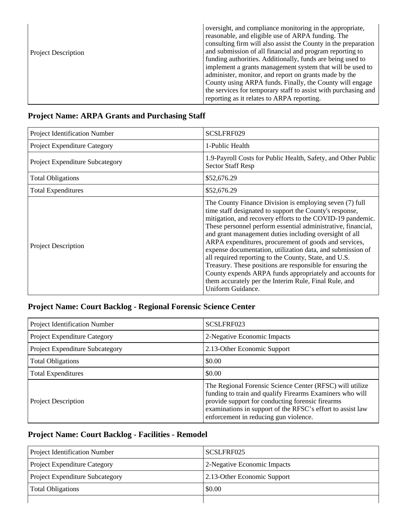| <b>Project Description</b> | oversight, and compliance monitoring in the appropriate,<br>reasonable, and eligible use of ARPA funding. The<br>consulting firm will also assist the County in the preparation<br>and submission of all financial and program reporting to<br>funding authorities. Additionally, funds are being used to |
|----------------------------|-----------------------------------------------------------------------------------------------------------------------------------------------------------------------------------------------------------------------------------------------------------------------------------------------------------|
|                            | implement a grants management system that will be used to<br>administer, monitor, and report on grants made by the<br>County using ARPA funds. Finally, the County will engage<br>the services for temporary staff to assist with purchasing and<br>reporting as it relates to ARPA reporting.            |

## **Project Name: ARPA Grants and Purchasing Staff**

| Project Identification Number          | SCSLFRF029                                                                                                                                                                                                                                                                                                                                                                                                                                                                                                                                                                                                                                                                                         |
|----------------------------------------|----------------------------------------------------------------------------------------------------------------------------------------------------------------------------------------------------------------------------------------------------------------------------------------------------------------------------------------------------------------------------------------------------------------------------------------------------------------------------------------------------------------------------------------------------------------------------------------------------------------------------------------------------------------------------------------------------|
| Project Expenditure Category           | 1-Public Health                                                                                                                                                                                                                                                                                                                                                                                                                                                                                                                                                                                                                                                                                    |
| <b>Project Expenditure Subcategory</b> | 1.9-Payroll Costs for Public Health, Safety, and Other Public<br><b>Sector Staff Resp</b>                                                                                                                                                                                                                                                                                                                                                                                                                                                                                                                                                                                                          |
| <b>Total Obligations</b>               | \$52,676.29                                                                                                                                                                                                                                                                                                                                                                                                                                                                                                                                                                                                                                                                                        |
| <b>Total Expenditures</b>              | \$52,676.29                                                                                                                                                                                                                                                                                                                                                                                                                                                                                                                                                                                                                                                                                        |
| <b>Project Description</b>             | The County Finance Division is employing seven (7) full<br>time staff designated to support the County's response,<br>mitigation, and recovery efforts to the COVID-19 pandemic.<br>These personnel perform essential administrative, financial,<br>and grant management duties including oversight of all<br>ARPA expenditures, procurement of goods and services,<br>expense documentation, utilization data, and submission of<br>all required reporting to the County, State, and U.S.<br>Treasury. These positions are responsible for ensuring the<br>County expends ARPA funds appropriately and accounts for<br>them accurately per the Interim Rule, Final Rule, and<br>Uniform Guidance. |

## **Project Name: Court Backlog - Regional Forensic Science Center**

| Project Identification Number          | SCSLFRF023                                                                                                                                                                                                                                                                      |
|----------------------------------------|---------------------------------------------------------------------------------------------------------------------------------------------------------------------------------------------------------------------------------------------------------------------------------|
| Project Expenditure Category           | 2-Negative Economic Impacts                                                                                                                                                                                                                                                     |
| <b>Project Expenditure Subcategory</b> | 2.13-Other Economic Support                                                                                                                                                                                                                                                     |
| <b>Total Obligations</b>               | \$0.00                                                                                                                                                                                                                                                                          |
| <b>Total Expenditures</b>              | \$0.00                                                                                                                                                                                                                                                                          |
| <b>Project Description</b>             | The Regional Forensic Science Center (RFSC) will utilize<br>funding to train and qualify Firearms Examiners who will<br>provide support for conducting forensic firearms<br>examinations in support of the RFSC's effort to assist law<br>enforcement in reducing gun violence. |

## **Project Name: Court Backlog - Facilities - Remodel**

| <b>Project Identification Number</b>   | SCSLFRF025                  |
|----------------------------------------|-----------------------------|
| <b>Project Expenditure Category</b>    | 2-Negative Economic Impacts |
| <b>Project Expenditure Subcategory</b> | 2.13-Other Economic Support |
| <b>Total Obligations</b>               | \$0.00                      |
|                                        |                             |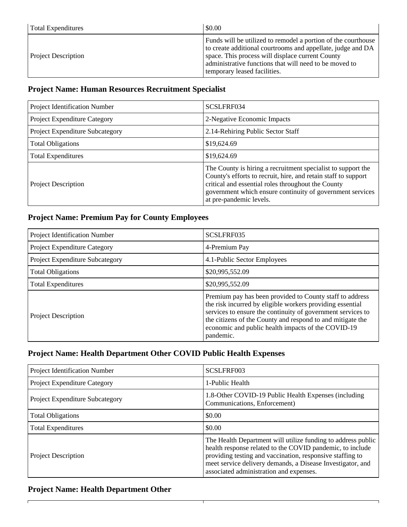| <b>Total Expenditures</b>  | \$0.00                                                                                                                                                                                                                                                                     |
|----------------------------|----------------------------------------------------------------------------------------------------------------------------------------------------------------------------------------------------------------------------------------------------------------------------|
| <b>Project Description</b> | Funds will be utilized to remodel a portion of the courthouse<br>to create additional courtrooms and appellate, judge and DA<br>space. This process will displace current County<br>administrative functions that will need to be moved to<br>temporary leased facilities. |

## **Project Name: Human Resources Recruitment Specialist**

| Project Identification Number       | SCSLFRF034                                                                                                                                                                                                                                                                   |
|-------------------------------------|------------------------------------------------------------------------------------------------------------------------------------------------------------------------------------------------------------------------------------------------------------------------------|
| <b>Project Expenditure Category</b> | 2-Negative Economic Impacts                                                                                                                                                                                                                                                  |
| Project Expenditure Subcategory     | 2.14-Rehiring Public Sector Staff                                                                                                                                                                                                                                            |
| <b>Total Obligations</b>            | \$19,624.69                                                                                                                                                                                                                                                                  |
| <b>Total Expenditures</b>           | \$19,624.69                                                                                                                                                                                                                                                                  |
| <b>Project Description</b>          | The County is hiring a recruitment specialist to support the<br>County's efforts to recruit, hire, and retain staff to support<br>critical and essential roles throughout the County<br>government which ensure continuity of government services<br>at pre-pandemic levels. |

## **Project Name: Premium Pay for County Employees**

| Project Identification Number   | SCSLFRF035                                                                                                                                                                                                                                                                                                            |
|---------------------------------|-----------------------------------------------------------------------------------------------------------------------------------------------------------------------------------------------------------------------------------------------------------------------------------------------------------------------|
| Project Expenditure Category    | 4-Premium Pay                                                                                                                                                                                                                                                                                                         |
| Project Expenditure Subcategory | 4.1-Public Sector Employees                                                                                                                                                                                                                                                                                           |
| <b>Total Obligations</b>        | \$20,995,552.09                                                                                                                                                                                                                                                                                                       |
| <b>Total Expenditures</b>       | \$20,995,552.09                                                                                                                                                                                                                                                                                                       |
| <b>Project Description</b>      | Premium pay has been provided to County staff to address<br>the risk incurred by eligible workers providing essential<br>services to ensure the continuity of government services to<br>the citizens of the County and respond to and mitigate the<br>economic and public health impacts of the COVID-19<br>pandemic. |

## **Project Name: Health Department Other COVID Public Health Expenses**

| Project Identification Number          | SCSLFRF003                                                                                                                                                                                                                                                                                      |
|----------------------------------------|-------------------------------------------------------------------------------------------------------------------------------------------------------------------------------------------------------------------------------------------------------------------------------------------------|
| Project Expenditure Category           | 1-Public Health                                                                                                                                                                                                                                                                                 |
| <b>Project Expenditure Subcategory</b> | 1.8-Other COVID-19 Public Health Expenses (including<br>Communications, Enforcement)                                                                                                                                                                                                            |
| <b>Total Obligations</b>               | \$0.00                                                                                                                                                                                                                                                                                          |
| <b>Total Expenditures</b>              | \$0.00                                                                                                                                                                                                                                                                                          |
| <b>Project Description</b>             | The Health Department will utilize funding to address public<br>health response related to the COVID pandemic, to include<br>providing testing and vaccination, responsive staffing to<br>meet service delivery demands, a Disease Investigator, and<br>associated administration and expenses. |

 $\overline{\mathbf{r}}$ 

#### **Project Name: Health Department Other**

 $\mathsf{r}$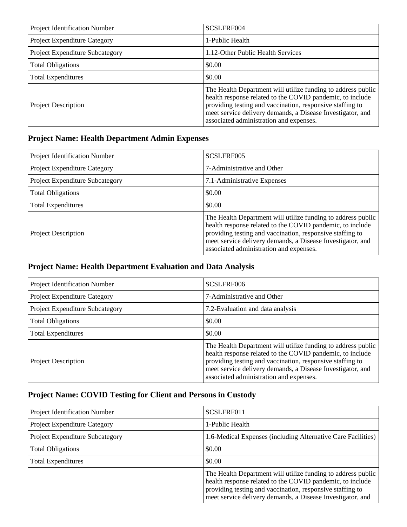| Project Identification Number          | SCSLFRF004                                                                                                                                                                                                                                                                                      |
|----------------------------------------|-------------------------------------------------------------------------------------------------------------------------------------------------------------------------------------------------------------------------------------------------------------------------------------------------|
| Project Expenditure Category           | 1-Public Health                                                                                                                                                                                                                                                                                 |
| <b>Project Expenditure Subcategory</b> | 1.12-Other Public Health Services                                                                                                                                                                                                                                                               |
| <b>Total Obligations</b>               | \$0.00                                                                                                                                                                                                                                                                                          |
| <b>Total Expenditures</b>              | \$0.00                                                                                                                                                                                                                                                                                          |
| <b>Project Description</b>             | The Health Department will utilize funding to address public<br>health response related to the COVID pandemic, to include<br>providing testing and vaccination, responsive staffing to<br>meet service delivery demands, a Disease Investigator, and<br>associated administration and expenses. |

### **Project Name: Health Department Admin Expenses**

| Project Identification Number   | SCSLFRF005                                                                                                                                                                                                                                                                                      |
|---------------------------------|-------------------------------------------------------------------------------------------------------------------------------------------------------------------------------------------------------------------------------------------------------------------------------------------------|
| Project Expenditure Category    | 7-Administrative and Other                                                                                                                                                                                                                                                                      |
| Project Expenditure Subcategory | 7.1-Administrative Expenses                                                                                                                                                                                                                                                                     |
| <b>Total Obligations</b>        | \$0.00                                                                                                                                                                                                                                                                                          |
| <b>Total Expenditures</b>       | \$0.00                                                                                                                                                                                                                                                                                          |
| <b>Project Description</b>      | The Health Department will utilize funding to address public<br>health response related to the COVID pandemic, to include<br>providing testing and vaccination, responsive staffing to<br>meet service delivery demands, a Disease Investigator, and<br>associated administration and expenses. |

## **Project Name: Health Department Evaluation and Data Analysis**

| Project Identification Number   | SCSLFRF006                                                                                                                                                                                                                                                                                      |
|---------------------------------|-------------------------------------------------------------------------------------------------------------------------------------------------------------------------------------------------------------------------------------------------------------------------------------------------|
| Project Expenditure Category    | 7-Administrative and Other                                                                                                                                                                                                                                                                      |
| Project Expenditure Subcategory | 7.2-Evaluation and data analysis                                                                                                                                                                                                                                                                |
| <b>Total Obligations</b>        | \$0.00                                                                                                                                                                                                                                                                                          |
| <b>Total Expenditures</b>       | \$0.00                                                                                                                                                                                                                                                                                          |
| <b>Project Description</b>      | The Health Department will utilize funding to address public<br>health response related to the COVID pandemic, to include<br>providing testing and vaccination, responsive staffing to<br>meet service delivery demands, a Disease Investigator, and<br>associated administration and expenses. |

## **Project Name: COVID Testing for Client and Persons in Custody**

| Project Identification Number          | SCSLFRF011                                                                                                                                                                                                                                           |
|----------------------------------------|------------------------------------------------------------------------------------------------------------------------------------------------------------------------------------------------------------------------------------------------------|
| Project Expenditure Category           | 1-Public Health                                                                                                                                                                                                                                      |
| <b>Project Expenditure Subcategory</b> | 1.6-Medical Expenses (including Alternative Care Facilities)                                                                                                                                                                                         |
| <b>Total Obligations</b>               | \$0.00                                                                                                                                                                                                                                               |
| <b>Total Expenditures</b>              | \$0.00                                                                                                                                                                                                                                               |
|                                        | The Health Department will utilize funding to address public<br>health response related to the COVID pandemic, to include<br>providing testing and vaccination, responsive staffing to<br>meet service delivery demands, a Disease Investigator, and |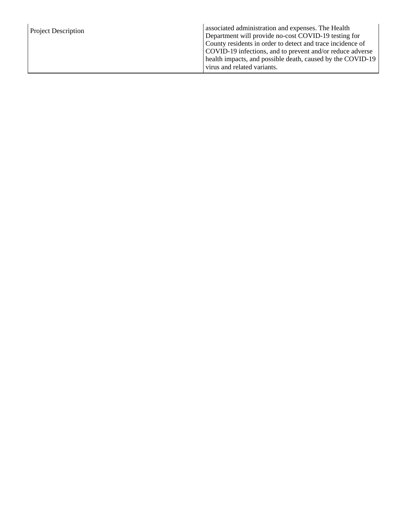| <b>Project Description</b> | associated administration and expenses. The Health<br>Department will provide no-cost COVID-19 testing for                                                                                                           |
|----------------------------|----------------------------------------------------------------------------------------------------------------------------------------------------------------------------------------------------------------------|
|                            | County residents in order to detect and trace incidence of<br>COVID-19 infections, and to prevent and/or reduce adverse<br>health impacts, and possible death, caused by the COVID-19<br>virus and related variants. |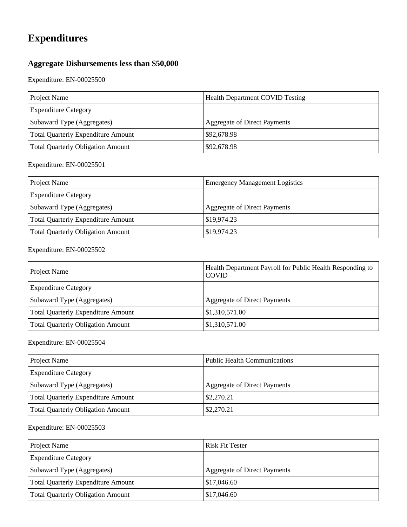## **Expenditures**

## **Aggregate Disbursements less than \$50,000**

Expenditure: EN-00025500

| Project Name                              | <b>Health Department COVID Testing</b> |
|-------------------------------------------|----------------------------------------|
| <b>Expenditure Category</b>               |                                        |
| Subaward Type (Aggregates)                | <b>Aggregate of Direct Payments</b>    |
| <b>Total Quarterly Expenditure Amount</b> | \$92,678.98                            |
| Total Quarterly Obligation Amount         | \$92,678.98                            |

#### Expenditure: EN-00025501

| Project Name                              | <b>Emergency Management Logistics</b> |
|-------------------------------------------|---------------------------------------|
| <b>Expenditure Category</b>               |                                       |
| Subaward Type (Aggregates)                | Aggregate of Direct Payments          |
| <b>Total Quarterly Expenditure Amount</b> | \$19,974.23                           |
| <b>Total Quarterly Obligation Amount</b>  | \$19,974.23                           |

#### Expenditure: EN-00025502

| Project Name                              | Health Department Payroll for Public Health Responding to<br><b>COVID</b> |
|-------------------------------------------|---------------------------------------------------------------------------|
| <b>Expenditure Category</b>               |                                                                           |
| Subaward Type (Aggregates)                | <b>Aggregate of Direct Payments</b>                                       |
| <b>Total Quarterly Expenditure Amount</b> | \$1,310,571.00                                                            |
| <b>Total Quarterly Obligation Amount</b>  | \$1,310,571.00                                                            |

#### Expenditure: EN-00025504

| Project Name                              | <b>Public Health Communications</b> |
|-------------------------------------------|-------------------------------------|
| <b>Expenditure Category</b>               |                                     |
| Subaward Type (Aggregates)                | Aggregate of Direct Payments        |
| <b>Total Quarterly Expenditure Amount</b> | \$2,270.21                          |
| Total Quarterly Obligation Amount         | \$2,270.21                          |

#### Expenditure: EN-00025503

| Project Name                             | <b>Risk Fit Tester</b>              |
|------------------------------------------|-------------------------------------|
| <b>Expenditure Category</b>              |                                     |
| Subaward Type (Aggregates)               | <b>Aggregate of Direct Payments</b> |
| Total Quarterly Expenditure Amount       | \$17,046.60                         |
| <b>Total Quarterly Obligation Amount</b> | \$17,046.60                         |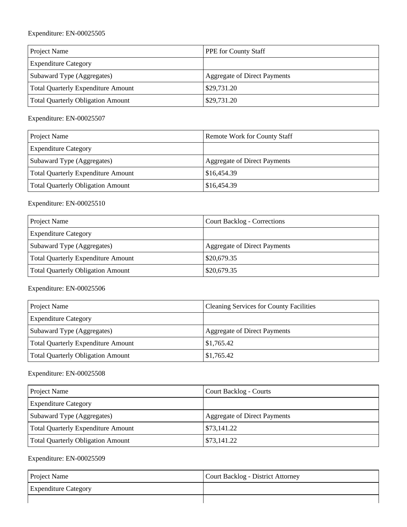#### Expenditure: EN-00025505

| <b>Project Name</b>                       | <b>PPE</b> for County Staff  |
|-------------------------------------------|------------------------------|
| <b>Expenditure Category</b>               |                              |
| Subaward Type (Aggregates)                | Aggregate of Direct Payments |
| <b>Total Quarterly Expenditure Amount</b> | \$29,731.20                  |
| <b>Total Quarterly Obligation Amount</b>  | \$29,731.20                  |

Expenditure: EN-00025507

| <b>Project Name</b>                       | Remote Work for County Staff |
|-------------------------------------------|------------------------------|
| <b>Expenditure Category</b>               |                              |
| Subaward Type (Aggregates)                | Aggregate of Direct Payments |
| <b>Total Quarterly Expenditure Amount</b> | \$16,454.39                  |
| <b>Total Quarterly Obligation Amount</b>  | \$16,454.39                  |

Expenditure: EN-00025510

| Project Name                              | Court Backlog - Corrections         |
|-------------------------------------------|-------------------------------------|
| <b>Expenditure Category</b>               |                                     |
| Subaward Type (Aggregates)                | <b>Aggregate of Direct Payments</b> |
| <b>Total Quarterly Expenditure Amount</b> | \$20,679.35                         |
| <b>Total Quarterly Obligation Amount</b>  | \$20,679.35                         |

Expenditure: EN-00025506

| Project Name                              | <b>Cleaning Services for County Facilities</b> |
|-------------------------------------------|------------------------------------------------|
| <b>Expenditure Category</b>               |                                                |
| Subaward Type (Aggregates)                | <b>Aggregate of Direct Payments</b>            |
| <b>Total Quarterly Expenditure Amount</b> | \$1,765.42                                     |
| <b>Total Quarterly Obligation Amount</b>  | \$1,765.42                                     |

#### Expenditure: EN-00025508

| <b>Project Name</b>                       | <b>Court Backlog - Courts</b>       |
|-------------------------------------------|-------------------------------------|
| <b>Expenditure Category</b>               |                                     |
| Subaward Type (Aggregates)                | <b>Aggregate of Direct Payments</b> |
| <b>Total Quarterly Expenditure Amount</b> | \$73,141.22                         |
| <b>Total Quarterly Obligation Amount</b>  | \$73,141.22                         |

#### Expenditure: EN-00025509

| <b>Project Name</b>         | Court Backlog - District Attorney |
|-----------------------------|-----------------------------------|
| <b>Expenditure Category</b> |                                   |
|                             |                                   |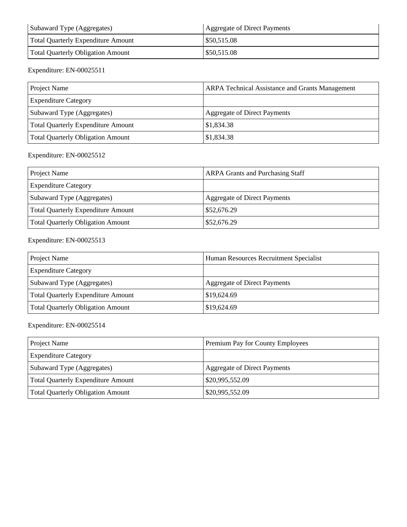| Subaward Type (Aggregates)         | Aggregate of Direct Payments |
|------------------------------------|------------------------------|
| Total Quarterly Expenditure Amount | \$50,515.08                  |
| Total Quarterly Obligation Amount  | \$50,515.08                  |

#### Expenditure: EN-00025511

| Project Name                              | <b>ARPA Technical Assistance and Grants Management</b> |
|-------------------------------------------|--------------------------------------------------------|
| <b>Expenditure Category</b>               |                                                        |
| Subaward Type (Aggregates)                | Aggregate of Direct Payments                           |
| <b>Total Quarterly Expenditure Amount</b> | \$1,834.38                                             |
| Total Quarterly Obligation Amount         | \$1,834.38                                             |

#### Expenditure: EN-00025512

| Project Name                             | <b>ARPA Grants and Purchasing Staff</b> |
|------------------------------------------|-----------------------------------------|
| <b>Expenditure Category</b>              |                                         |
| Subaward Type (Aggregates)               | <b>Aggregate of Direct Payments</b>     |
| Total Quarterly Expenditure Amount       | \$52,676.29                             |
| <b>Total Quarterly Obligation Amount</b> | \$52,676.29                             |

#### Expenditure: EN-00025513

| Project Name                              | Human Resources Recruitment Specialist |
|-------------------------------------------|----------------------------------------|
| <b>Expenditure Category</b>               |                                        |
| Subaward Type (Aggregates)                | Aggregate of Direct Payments           |
| <b>Total Quarterly Expenditure Amount</b> | \$19,624.69                            |
| Total Quarterly Obligation Amount         | \$19,624.69                            |

#### Expenditure: EN-00025514

| <b>Project Name</b>                      | Premium Pay for County Employees    |
|------------------------------------------|-------------------------------------|
| <b>Expenditure Category</b>              |                                     |
| Subaward Type (Aggregates)               | <b>Aggregate of Direct Payments</b> |
| Total Quarterly Expenditure Amount       | \$20,995,552.09                     |
| <b>Total Quarterly Obligation Amount</b> | \$20,995,552.09                     |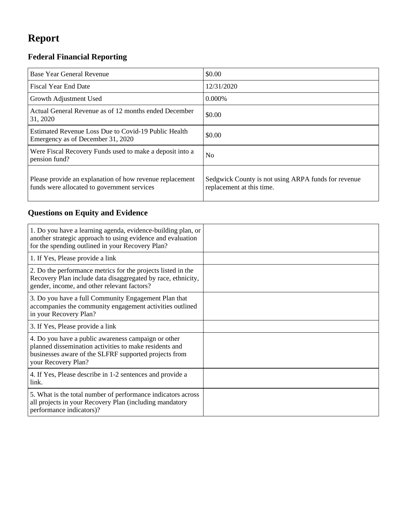## **Report**

## **Federal Financial Reporting**

| Base Year General Revenue                                                                               | \$0.00                                                                           |
|---------------------------------------------------------------------------------------------------------|----------------------------------------------------------------------------------|
| <b>Fiscal Year End Date</b>                                                                             | 12/31/2020                                                                       |
| Growth Adjustment Used                                                                                  | 0.000\%                                                                          |
| Actual General Revenue as of 12 months ended December<br>31, 2020                                       | \$0.00                                                                           |
| Estimated Revenue Loss Due to Covid-19 Public Health<br>Emergency as of December 31, 2020               | \$0.00                                                                           |
| Were Fiscal Recovery Funds used to make a deposit into a<br>pension fund?                               | N <sub>0</sub>                                                                   |
| Please provide an explanation of how revenue replacement<br>funds were allocated to government services | Sedgwick County is not using ARPA funds for revenue<br>replacement at this time. |

## **Questions on Equity and Evidence**

| 1. Do you have a learning agenda, evidence-building plan, or<br>another strategic approach to using evidence and evaluation<br>for the spending outlined in your Recovery Plan?               |  |
|-----------------------------------------------------------------------------------------------------------------------------------------------------------------------------------------------|--|
| 1. If Yes, Please provide a link                                                                                                                                                              |  |
| 2. Do the performance metrics for the projects listed in the<br>Recovery Plan include data disaggregated by race, ethnicity,<br>gender, income, and other relevant factors?                   |  |
| 3. Do you have a full Community Engagement Plan that<br>accompanies the community engagement activities outlined<br>in your Recovery Plan?                                                    |  |
| 3. If Yes, Please provide a link                                                                                                                                                              |  |
| 4. Do you have a public awareness campaign or other<br>planned dissemination activities to make residents and<br>businesses aware of the SLFRF supported projects from<br>your Recovery Plan? |  |
| 4. If Yes, Please describe in 1-2 sentences and provide a<br>link.                                                                                                                            |  |
| 5. What is the total number of performance indicators across<br>all projects in your Recovery Plan (including mandatory<br>performance indicators)?                                           |  |